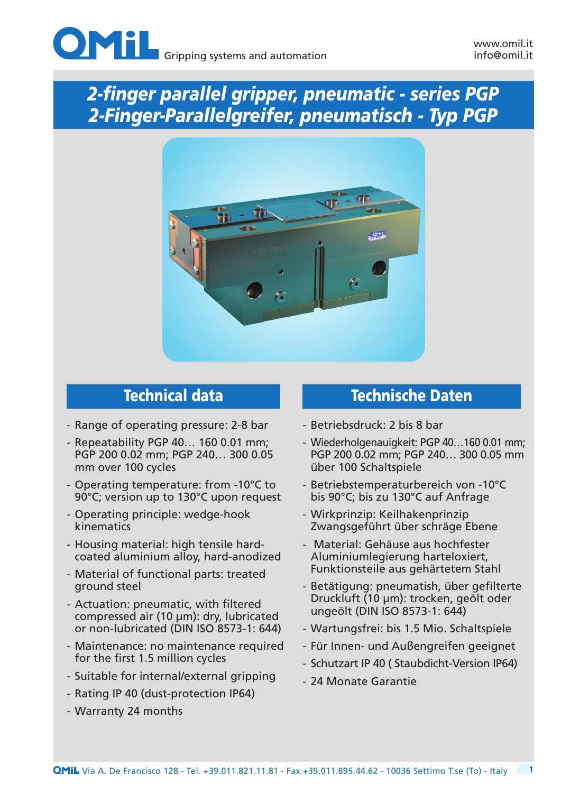



- Range of operating pressure: 2-8 bar
- Repeatability PGP 40… 160 0.01 mm; PGP 200 0.02 mm; PGP 240… 300 0.05 mm over 100 cycles
- Operating temperature: from -10°C to 90°C; version up to 130°C upon request
- Operating principle: wedge-hook kinematics
- Housing material: high tensile hardcoated aluminium alloy, hard-anodized
- Material of functional parts: treated ground steel
- Actuation: pneumatic, with filtered compressed air (10 µm): dry, lubricated or non-lubricated (DIN ISO 8573-1: 644)
- Maintenance: no maintenance required for the first 1.5 million cycles
- Suitable for internal/external gripping
- Rating IP 40 (dust-protection IP64)
- Warranty 24 months

## Technical data Technische Daten

- Betriebsdruck: 2 bis 8 bar
- Wiederholgenauigkeit: PGP 40…160 0.01 mm; PGP 200 0.02 mm; PGP 240… 300 0.05 mm über 100 Schaltspiele
- Betriebstemperaturbereich von -10°C bis 90°C; bis zu 130°C auf Anfrage
- Wirkprinzip: Keilhakenprinzip Zwangsgeführt über schräge Ebene
- Material: Gehäuse aus hochfester Aluminiumlegierung harteloxiert, Funktionsteile aus gehärtetem Stahl
- Betätigung: pneumatish, über gefilterte Druckluft (10 µm): trocken, geölt oder ungeölt (DIN ISO 8573-1: 644)
- Wartungsfrei: bis 1.5 Mio. Schaltspiele
- Für Innen- und Außengreifen geeignet
- Schutzart IP 40 ( Staubdicht-Version IP64)
- 24 Monate Garantie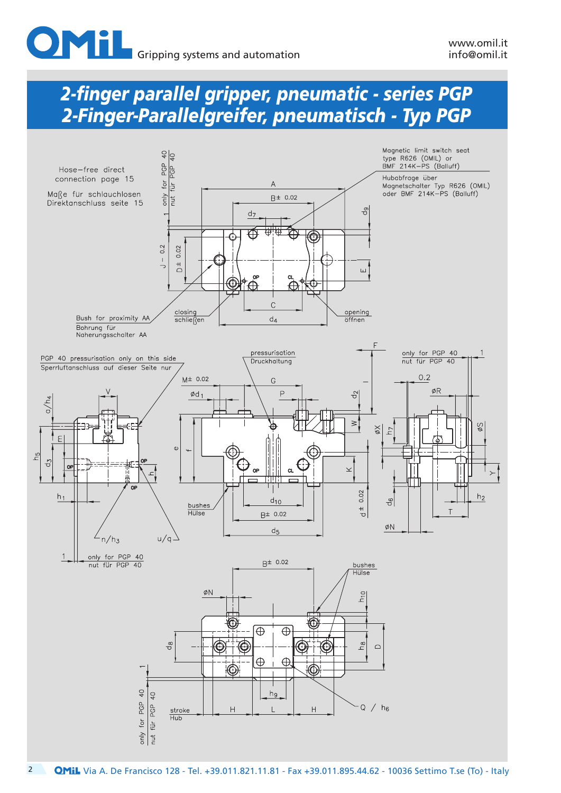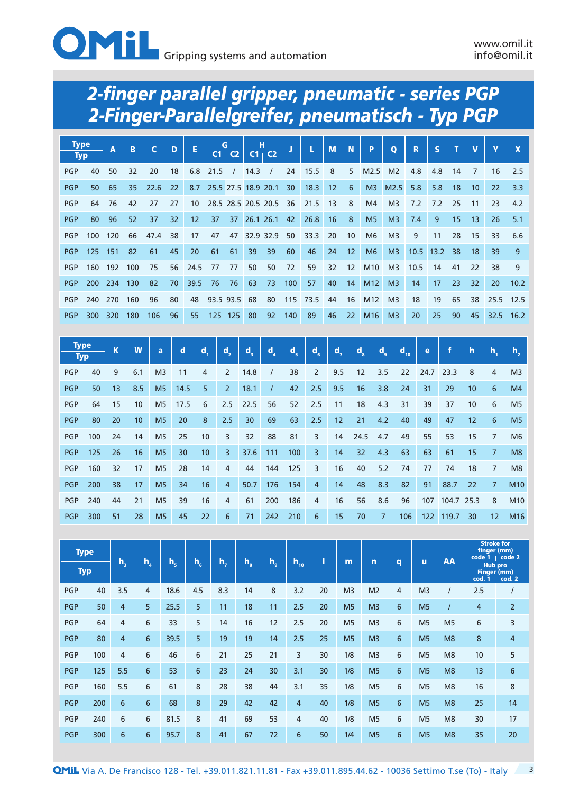

| <b>Type</b> |            | A   | B   | $\mathbf C$ | D  | E    |           | G         | н                   |                     |     | L    | M  | N               | P               | $\mathbf{o}$   | R    | S           |    | $\mathbf v$ | Y    | $\mathbf{x}$ |
|-------------|------------|-----|-----|-------------|----|------|-----------|-----------|---------------------|---------------------|-----|------|----|-----------------|-----------------|----------------|------|-------------|----|-------------|------|--------------|
| <b>Typ</b>  |            |     |     |             |    |      |           | $C1$ $C2$ |                     | $C1 + C2$           |     |      |    |                 |                 |                |      |             |    |             |      |              |
| <b>PGP</b>  | 40         | 50  | 32  | 20          | 18 | 6.8  | 21.5      |           | 14.3                |                     | 24  | 15.5 | 8  | 5               | M2.5            | M <sub>2</sub> | 4.8  | 4.8         | 14 | 7           | 16   | 2.5          |
| <b>PGP</b>  | 50         | 65  | 35  | 22.6        | 22 | 8.7  |           |           |                     | 25.5 27.5 18.9 20.1 | 30  | 18.3 | 12 | 6               | M <sub>3</sub>  | M2.5           | 5.8  | 5.8         | 18 | 10          | 22   | 3.3          |
| <b>PGP</b>  | 64         | 76  | 42  | 27          | 27 | 10   |           |           | 28.5 28.5 20.5 20.5 |                     | 36  | 21.5 | 13 | 8               | M <sub>4</sub>  | M <sub>3</sub> | 7.2  | 7.2         | 25 | 11          | 23   | 4.2          |
| <b>PGP</b>  | 80         | 96  | 52  | 37          | 32 | 12   | 37        | 37        |                     | 26.1 26.1           | 42  | 26.8 | 16 | 8               | M <sub>5</sub>  | M <sub>3</sub> | 7.4  | 9           | 15 | 13          | 26   | 5.1          |
| <b>PGP</b>  | 100        | 120 | 66  | 47.4        | 38 | 17   | 47        | 47        | 32.9 32.9           |                     | 50  | 33.3 | 20 | 10              | M <sub>6</sub>  | M <sub>3</sub> | 9    | 11          | 28 | 15          | 33   | 6.6          |
| <b>PGP</b>  | 125        | 151 | 82  | 61          | 45 | 20   | 61        | 61        | 39                  | 39                  | 60  | 46   | 24 | 12 <sup>2</sup> | M <sub>6</sub>  | M <sub>3</sub> |      | $10.5$ 13.2 | 38 | 18          | 39   | 9            |
| <b>PGP</b>  | 160        | 192 | 100 | 75          | 56 | 24.5 | 77        | 77        | 50                  | 50                  | 72  | 59   | 32 | 12              | M <sub>10</sub> | M <sub>3</sub> | 10.5 | 14          | 41 | 22          | 38   | 9            |
| <b>PGP</b>  | <b>200</b> | 234 | 130 | 82          | 70 | 39.5 | 76        | 76        | 63                  | 73                  | 100 | 57   | 40 | 14              | M <sub>12</sub> | M <sub>3</sub> | 14   | 17          | 23 | 32          | 20   | 10.2         |
| <b>PGP</b>  | 240        | 270 | 160 | 96          | 80 | 48   | 93.5 93.5 |           | 68                  | 80                  | 115 | 73.5 | 44 | 16              | M <sub>12</sub> | M <sub>3</sub> | 18   | 19          | 65 | 38          | 25.5 | 12.5         |
| <b>PGP</b>  | 300        | 320 | 180 | 106         | 96 | 55   | 125       | 125       | 80                  | 92                  | 140 | 89   | 46 | 22              | M <sub>16</sub> | M <sub>3</sub> | 20   | 25          | 90 | 45          | 32.5 | 16.2         |

| <b>Type</b><br><b>Typ</b> |     | K  | W   | a              | $\mathbf d$ | d. | $\mathbf{d}_{2}$ | d,   | $\mathbf{d}_{\mathbf{A}}$ | $d_{\rm s}$ | $d_{\kappa}$   | $\mathbf{d}_{\mathbf{z}}$ | $d_{\rm s}$ | $d_{\circ}$    | $d_{10}$ | e    | f     | h    | h.             | h.,             |
|---------------------------|-----|----|-----|----------------|-------------|----|------------------|------|---------------------------|-------------|----------------|---------------------------|-------------|----------------|----------|------|-------|------|----------------|-----------------|
| <b>PGP</b>                | 40  | 9  | 6.1 | M <sub>3</sub> | 11          | 4  | $\overline{2}$   | 14.8 |                           | 38          | $\overline{2}$ | 9.5                       | 12          | 3.5            | 22       | 24.7 | 23.3  | 8    | 4              | M <sub>3</sub>  |
| <b>PGP</b>                | 50  | 13 | 8.5 | M <sub>5</sub> | 14.5        | 5  | $\overline{2}$   | 18.1 |                           | 42          | 2.5            | 9.5                       | 16          | 3.8            | 24       | 31   | 29    | 10   | 6              | M <sub>4</sub>  |
| <b>PGP</b>                | 64  | 15 | 10  | M <sub>5</sub> | 17.5        | 6  | 2.5              | 22.5 | 56                        | 52          | 2.5            | 11                        | 18          | 4.3            | 31       | 39   | 37    | 10   | 6              | M <sub>5</sub>  |
| <b>PGP</b>                | 80  | 20 | 10  | M <sub>5</sub> | 20          | 8  | 2.5              | 30   | 69                        | 63          | 2.5            | 12                        | 21          | 4.2            | 40       | 49   | 47    | 12   | 6              | M <sub>5</sub>  |
| <b>PGP</b>                | 100 | 24 | 14  | M <sub>5</sub> | 25          | 10 | 3                | 32   | 88                        | 81          | 3              | 14                        | 24.5        | 4.7            | 49       | 55   | 53    | 15   | 7              | M <sub>6</sub>  |
| <b>PGP</b>                | 125 | 26 | 16  | M <sub>5</sub> | 30          | 10 | 3                | 37.6 | 111                       | 100         | 3              | 14                        | 32          | 4.3            | 63       | 63   | 61    | 15   |                | M8              |
| <b>PGP</b>                | 160 | 32 | 17  | M <sub>5</sub> | 28          | 14 | 4                | 44   | 144                       | 125         | 3              | 16                        | 40          | 5.2            | 74       | 77   | 74    | 18   | $\overline{7}$ | M8              |
| <b>PGP</b>                | 200 | 38 | 17  | M <sub>5</sub> | 34          | 16 | $\overline{4}$   | 50.7 | 176                       | 154         | 4              | 14                        | 48          | 8.3            | 82       | 91   | 88.7  | 22   | $\overline{7}$ | M <sub>10</sub> |
| <b>PGP</b>                | 240 | 44 | 21  | M <sub>5</sub> | 39          | 16 | 4                | 61   | 200                       | 186         | 4              | 16                        | 56          | 8.6            | 96       | 107  | 104.7 | 25.3 | 8              | M <sub>10</sub> |
| <b>PGP</b>                | 300 | 51 | 28  | M <sub>5</sub> | 45          | 22 | 6                | 71   | 242                       | 210         | 6              | 15                        | 70          | $\overline{7}$ | 106      | 122  | 119.7 | 30   | 12             | M <sub>16</sub> |

| <b>Type</b> |     |                |                |         |                |     |             |       |                |    |                |                |                 | AA             | <b>Stroke for</b><br>finger (mm) | code 1   code 2                         |                  |
|-------------|-----|----------------|----------------|---------|----------------|-----|-------------|-------|----------------|----|----------------|----------------|-----------------|----------------|----------------------------------|-----------------------------------------|------------------|
| <b>Typ</b>  |     | h,             | $h_a$          | $h_{s}$ | $h_{\epsilon}$ | h., | $h_{\rm s}$ | $h_a$ | $h_{10}$       |    | m              | n              | q               | ū              |                                  | <b>Hub pro</b><br>Finger (mm)<br>cod. 1 | cod. 2           |
| <b>PGP</b>  | 40  | 3.5            | 4              | 18.6    | 4.5            | 8.3 | 14          | 8     | 3.2            | 20 | M <sub>3</sub> | M <sub>2</sub> | 4               | M <sub>3</sub> |                                  | 2.5                                     | $\prime$         |
| <b>PGP</b>  | 50  | 4              | 5              | 25.5    | 5              | 11  | 18          | 11    | 2.5            | 20 | M <sub>5</sub> | M <sub>3</sub> | $6\phantom{1}$  | M <sub>5</sub> | $\prime$                         | $\overline{4}$                          | $\overline{2}$   |
| <b>PGP</b>  | 64  | 4              | 6              | 33      | 5              | 14  | 16          | 12    | 2.5            | 20 | M <sub>5</sub> | M <sub>3</sub> | 6               | M <sub>5</sub> | M <sub>5</sub>                   | 6                                       | 3                |
| <b>PGP</b>  | 80  | 4              | $6\phantom{1}$ | 39.5    | 5              | 19  | 19          | 14    | 2.5            | 25 | M <sub>5</sub> | M <sub>3</sub> | $6\phantom{1}$  | M <sub>5</sub> | M <sub>8</sub>                   | 8                                       | $\overline{4}$   |
| <b>PGP</b>  | 100 | 4              | 6              | 46      | 6              | 21  | 25          | 21    | 3              | 30 | 1/8            | M <sub>3</sub> | 6               | M <sub>5</sub> | M <sub>8</sub>                   | 10                                      | 5                |
| <b>PGP</b>  | 125 | 5.5            | $6\phantom{1}$ | 53      | 6              | 23  | 24          | 30    | 3.1            | 30 | 1/8            | M <sub>5</sub> | $6\phantom{1}$  | M <sub>5</sub> | M <sub>8</sub>                   | 13                                      | $6 \overline{6}$ |
| <b>PGP</b>  | 160 | 5.5            | 6              | 61      | 8              | 28  | 38          | 44    | 3.1            | 35 | 1/8            | M <sub>5</sub> | 6               | M <sub>5</sub> | M8                               | 16                                      | 8                |
| <b>PGP</b>  | 200 | $6\phantom{1}$ | $6\phantom{1}$ | 68      | 8              | 29  | 42          | 42    | $\overline{4}$ | 40 | 1/8            | M <sub>5</sub> | $6\overline{6}$ | M <sub>5</sub> | M8                               | 25                                      | 14               |
| <b>PGP</b>  | 240 | 6              | 6              | 81.5    | 8              | 41  | 69          | 53    | 4              | 40 | 1/8            | M <sub>5</sub> | 6               | M <sub>5</sub> | M <sub>8</sub>                   | 30                                      | 17               |
| <b>PGP</b>  | 300 | $6\phantom{1}$ | 6              | 95.7    | 8              | 41  | 67          | 72    | 6              | 50 | 1/4            | M <sub>5</sub> | $6\overline{6}$ | M <sub>5</sub> | M8                               | 35                                      | 20               |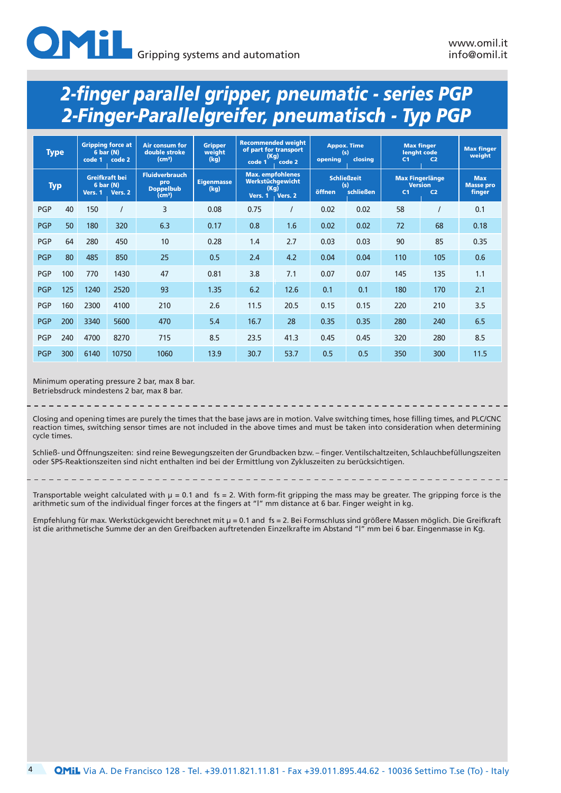|            | <b>Type</b> |                      | <b>Gripping force at</b><br>6 bar (N)<br>code 2 | <b>Air consum for</b><br>double stroke<br>(cm <sup>3</sup> )           | <b>Gripper</b><br>weight<br>(kg) | (Kg)<br>code 1                                                 | <b>Recommended weight</b><br>of part for transport<br>code 2 | opening | <b>Appox. Time</b><br>(s)<br>closina   | <b>Max finger</b><br>lenaht code<br>C <sub>1</sub> | C <sub>2</sub>                   | <b>Max finger</b><br>weight              |
|------------|-------------|----------------------|-------------------------------------------------|------------------------------------------------------------------------|----------------------------------|----------------------------------------------------------------|--------------------------------------------------------------|---------|----------------------------------------|----------------------------------------------------|----------------------------------|------------------------------------------|
| <b>Typ</b> |             | 6 bar (N)<br>Vers. 1 | <b>Greifkraft bei</b><br>Vers. 2                | <b>Fluidverbrauch</b><br>pro<br><b>Doppelbub</b><br>(cm <sup>3</sup> ) | <b>Eigenmasse</b><br>(kg)        | <b>Max.</b> empfohlenes<br>Werkstüchgewicht<br>(Kg)<br>Vers. 1 | Vers. 2                                                      | öffnen  | <b>Schließzeit</b><br>(s)<br>schließen | <b>Max Fingerlänge</b><br>C <sub>1</sub>           | <b>Version</b><br>C <sub>2</sub> | <b>Max</b><br><b>Masse pro</b><br>finger |
| <b>PGP</b> | 40          | 150                  |                                                 | 3                                                                      | 0.08                             | 0.75                                                           |                                                              | 0.02    | 0.02                                   | 58                                                 |                                  | 0.1                                      |
| <b>PGP</b> | 50          | 180                  | 320                                             | 6.3                                                                    | 0.17                             | 0.8                                                            | 1.6                                                          | 0.02    | 0.02                                   | 72                                                 | 68                               | 0.18                                     |
| PGP        | 64          | 280                  | 450                                             | 10                                                                     | 0.28                             | 1.4                                                            | 2.7                                                          | 0.03    | 0.03                                   | 90                                                 | 85                               | 0.35                                     |
| <b>PGP</b> | 80          | 485                  | 850                                             | 25                                                                     | 0.5                              | 2.4                                                            | 4.2                                                          | 0.04    | 0.04                                   | 110                                                | 105                              | 0.6                                      |
| <b>PGP</b> | 100         | 770                  | 1430                                            | 47                                                                     | 0.81                             | 3.8                                                            | 7.1                                                          | 0.07    | 0.07                                   | 145                                                | 135                              | 1.1                                      |
| <b>PGP</b> | 125         | 1240                 | 2520                                            | 93                                                                     | 1.35                             | 6.2                                                            | 12.6                                                         | 0.1     | 0.1                                    | 180                                                | 170                              | 2.1                                      |
| <b>PGP</b> | 160         | 2300                 | 4100                                            | 210                                                                    | 2.6                              | 11.5                                                           | 20.5                                                         | 0.15    | 0.15                                   | 220                                                | 210                              | 3.5                                      |
| <b>PGP</b> | 200         | 3340                 | 5600                                            | 470                                                                    | 5.4                              | 16.7                                                           | 28                                                           | 0.35    | 0.35                                   | 280                                                | 240                              | 6.5                                      |
| <b>PGP</b> | 240         | 4700                 | 8270                                            | 715                                                                    | 8.5                              | 23.5                                                           | 41.3                                                         | 0.45    | 0.45                                   | 320                                                | 280                              | 8.5                                      |
| <b>PGP</b> | 300         | 6140                 | 10750                                           | 1060                                                                   | 13.9                             | 30.7                                                           | 53.7                                                         | 0.5     | 0.5                                    | 350                                                | 300                              | 11.5                                     |

Minimum operating pressure 2 bar, max 8 bar. Betriebsdruck mindestens 2 bar, max 8 bar.

Closing and opening times are purely the times that the base jaws are in motion. Valve switching times, hose filling times, and PLC/CNC reaction times, switching sensor times are not included in the above times and must be taken into consideration when determining cycle times.

Schließ- und Öffnungszeiten: sind reine Bewegungszeiten der Grundbacken bzw. – finger. Ventilschaltzeiten, Schlauchbefüllungszeiten oder SPS-Reaktionszeiten sind nicht enthalten ind bei der Ermittlung von Zykluszeiten zu berücksichtigen.

Transportable weight calculated with µ = 0.1 and fs = 2. With form-fit gripping the mass may be greater. The gripping force is the arithmetic sum of the individual finger forces at the fingers at "l" mm distance at 6 bar. Finger weight in kg.

Empfehlung für max. Werkstückgewicht berechnet mit µ = 0.1 and fs = 2. Bei Formschluss sind größere Massen möglich. Die Greifkraft ist die arithmetische Summe der an den Greifbacken auftretenden Einzelkrafte im Abstand "l" mm bei 6 bar. Eingenmasse in Kg.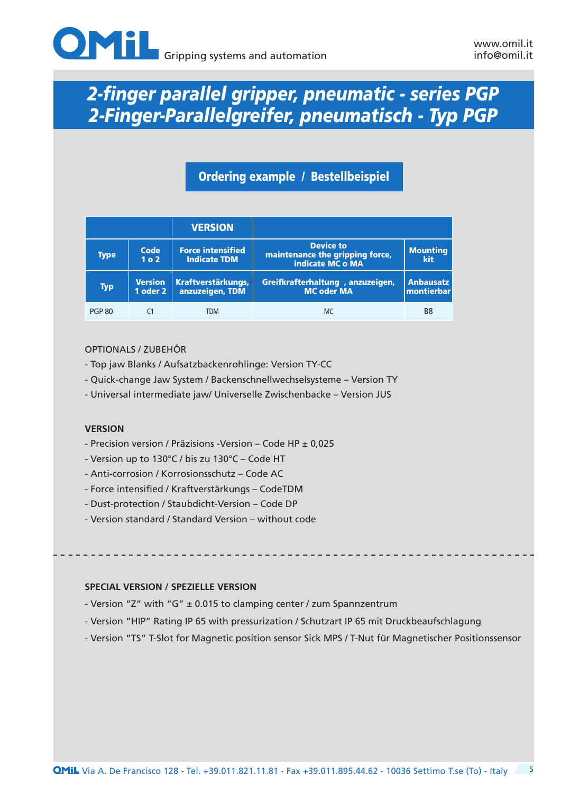

## Ordering example / Bestellbeispiel

|                                          |                          | <b>VERSION</b>                                  |                                                                         |                                        |
|------------------------------------------|--------------------------|-------------------------------------------------|-------------------------------------------------------------------------|----------------------------------------|
| <b>Type</b>                              | Code<br>1 <sub>0</sub> 2 | <b>Force intensified</b><br><b>Indicate TDM</b> | <b>Device to</b><br>maintenance the gripping force,<br>indicate MC o MA | <b>Mounting</b><br>kit                 |
| <b>Version</b><br><b>Typ</b><br>1 oder 2 |                          | Kraftverstärkungs,<br>anzuzeigen, TDM           | Greifkrafterhaltung, anzuzeigen,<br><b>MC oder MA</b>                   | <b>Anbausatz</b><br>$ $ montierbar $ $ |
| <b>PGP 80</b>                            |                          | <b>TDM</b>                                      | MC                                                                      | B8                                     |

#### OPTIONALS / ZUBEHÖR

- Top jaw Blanks / Aufsatzbackenrohlinge: Version TY-CC
- Quick-change Jaw System / Backenschnellwechselsysteme Version TY
- Universal intermediate jaw/ Universelle Zwischenbacke Version JUS

#### **VERSION**

- Precision version / Präzisions -Version Code HP ± 0,025
- Version up to 130°C / bis zu 130°C Code HT
- Anti-corrosion / Korrosionsschutz Code AC
- Force intensified / Kraftverstärkungs CodeTDM
- Dust-protection / Staubdicht-Version Code DP
- Version standard / Standard Version without code

#### **SPECIAL VERSION / SPEZIELLE VERSION**

- Version "Z" with "G" ± 0.015 to clamping center / zum Spannzentrum
- Version "HIP" Rating IP 65 with pressurization / Schutzart IP 65 mit Druckbeaufschlagung
- Version "TS" T-Slot for Magnetic position sensor Sick MPS / T-Nut für Magnetischer Positionssensor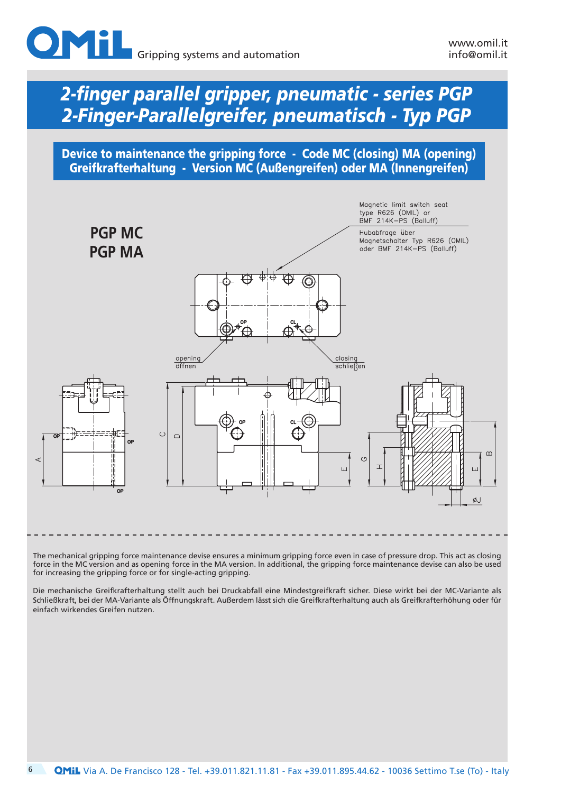

Device to maintenance the gripping force - Code MC (closing) MA (opening) Greifkrafterhaltung - Version MC (Außengreifen) oder MA (Innengreifen)



The mechanical gripping force maintenance devise ensures a minimum gripping force even in case of pressure drop. This act as closing force in the MC version and as opening force in the MA version. In additional, the gripping force maintenance devise can also be used for increasing the gripping force or for single-acting gripping.

Die mechanische Greifkrafterhaltung stellt auch bei Druckabfall eine Mindestgreifkraft sicher. Diese wirkt bei der MC-Variante als Schließkraft, bei der MA-Variante als Öffnungskraft. Außerdem lässt sich die Greifkrafterhaltung auch als Greifkrafterhöhung oder für einfach wirkendes Greifen nutzen.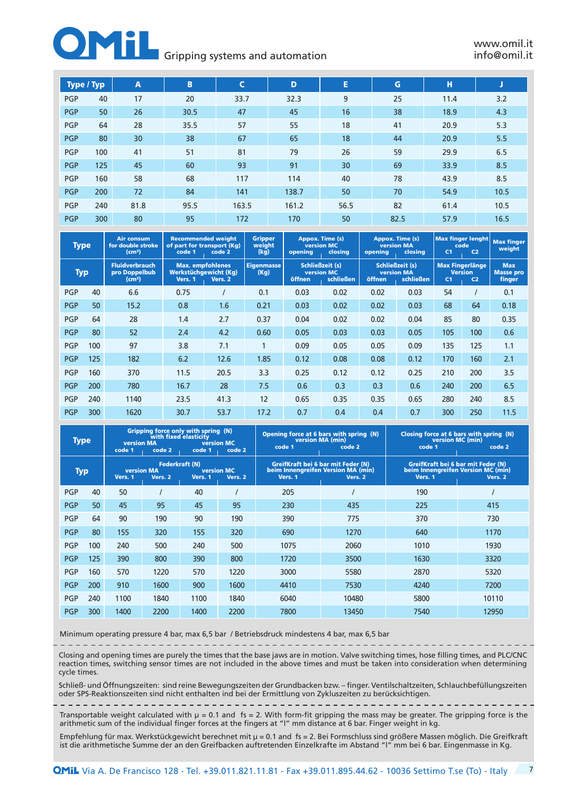#### **Gripping systems and automation**

| Type / Typ |     | A    | B    | C     | D     | E    | G    | н    | J    |
|------------|-----|------|------|-------|-------|------|------|------|------|
| <b>PGP</b> | 40  | 17   | 20   | 33.7  | 32.3  | 9    | 25   | 11.4 | 3.2  |
| <b>PGP</b> | 50  | 26   | 30.5 | 47    | 45    | 16   | 38   | 18.9 | 4.3  |
| <b>PGP</b> | 64  | 28   | 35.5 | 57    | 55    | 18   | 41   | 20.9 | 5.3  |
| <b>PGP</b> | 80  | 30   | 38   | 67    | 65    | 18   | 44   | 20.9 | 5.5  |
| <b>PGP</b> | 100 | 41   | 51   | 81    | 79    | 26   | 59   | 29.9 | 6.5  |
| <b>PGP</b> | 125 | 45   | 60   | 93    | 91    | 30   | 69   | 33.9 | 8.5  |
| <b>PGP</b> | 160 | 58   | 68   | 117   | 114   | 40   | 78   | 43.9 | 8.5  |
| <b>PGP</b> | 200 | 72   | 84   | 141   | 138.7 | 50   | 70   | 54.9 | 10.5 |
| <b>PGP</b> | 240 | 81.8 | 95.5 | 163.5 | 161.2 | 56.5 | 82   | 61.4 | 10.5 |
| <b>PGP</b> | 300 | 80   | 95   | 172   | 170   | 50   | 82.5 | 57.9 | 16.5 |

| <b>Type</b> |     | <b>Air consum</b><br>for double stroke<br>(cm <sup>3</sup> ) | of part for transport (Kg)<br>code 1 | <b>Recommended weight</b><br>code 2                         | <b>Gripper</b><br>weight<br>(kg) | <b>version MC</b><br>opening                          | Appox. Time (s)<br>closina | opening | Appox. Time (s)<br><b>version MA</b><br>closing          | C <sub>1</sub> | <b>Max finger lenght</b><br>code<br>C <sub>2</sub>         | <b>Max finger</b><br>weight              |
|-------------|-----|--------------------------------------------------------------|--------------------------------------|-------------------------------------------------------------|----------------------------------|-------------------------------------------------------|----------------------------|---------|----------------------------------------------------------|----------------|------------------------------------------------------------|------------------------------------------|
| <b>Typ</b>  |     | <b>Fluidverbrauch</b><br>pro Doppelbub<br>(cm <sup>3</sup> ) | Vers. 1                              | <b>Max.</b> empfohlenes<br>Werkstüchgewicht (Kg)<br>Vers. 2 | <b>Eigenmasse</b><br>(Kg)        | <b>Schließzeit (s)</b><br><b>version MC</b><br>öffnen | schließen                  | öffnen  | <b>Schließzeit (s)</b><br><b>version MA</b><br>schließen | C <sub>1</sub> | <b>Max Fingerlänge</b><br><b>Version</b><br>C <sub>2</sub> | <b>Max</b><br><b>Masse pro</b><br>finger |
| <b>PGP</b>  | 40  | 6.6                                                          | 0.75                                 |                                                             | 0.1                              | 0.03                                                  | 0.02                       | 0.02    | 0.03                                                     | 54             |                                                            | 0.1                                      |
| <b>PGP</b>  | 50  | 15.2                                                         | 0.8                                  | 1.6                                                         | 0.21                             | 0.03                                                  | 0.02                       | 0.02    | 0.03                                                     | 68             | 64                                                         | 0.18                                     |
| <b>PGP</b>  | 64  | 28                                                           | 1.4                                  | 2.7                                                         | 0.37                             | 0.04                                                  | 0.02                       | 0.02    | 0.04                                                     | 85             | 80                                                         | 0.35                                     |
| <b>PGP</b>  | 80  | 52                                                           | 2.4                                  | 4.2                                                         | 0.60                             | 0.05                                                  | 0.03                       | 0.03    | 0.05                                                     | 105            | 100                                                        | 0.6                                      |
| <b>PGP</b>  | 100 | 97                                                           | 3.8                                  | 7.1                                                         | 1                                | 0.09                                                  | 0.05                       | 0.05    | 0.09                                                     | 135            | 125                                                        | 1.1                                      |
| <b>PGP</b>  | 125 | 182                                                          | 6.2                                  | 12.6                                                        | 1.85                             | 0.12                                                  | 0.08                       | 0.08    | 0.12                                                     | 170            | 160                                                        | 2.1                                      |
| <b>PGP</b>  | 160 | 370                                                          | 11.5                                 | 20.5                                                        | 3.3                              | 0.25                                                  | 0.12                       | 0.12    | 0.25                                                     | 210            | 200                                                        | 3.5                                      |
| <b>PGP</b>  | 200 | 780                                                          | 16.7                                 | 28                                                          | 7.5                              | 0.6                                                   | 0.3                        | 0.3     | 0.6                                                      | 240            | 200                                                        | 6.5                                      |
| <b>PGP</b>  | 240 | 1140                                                         | 23.5                                 | 41.3                                                        | 12                               | 0.65                                                  | 0.35                       | 0.35    | 0.65                                                     | 280            | 240                                                        | 8.5                                      |
| <b>PGP</b>  | 300 | 1620                                                         | 30.7                                 | 53.7                                                        | 17.2                             | 0.7                                                   | 0.4                        | 0.4     | 0.7                                                      | 300            | 250                                                        | 11.5                                     |

| <b>Type</b> |     | <b>version MA</b><br>code 1  | code 2                           | Gripping force only with spring (N)<br>with fixed elasticity<br>code 1 | version MC<br>code 2         | code 1  | Opening force at 6 bars with spring (N)<br>version MA (min)<br>code 2               | version MC (min)<br>code 1                    | Closing force at 6 bars with spring (N)<br>code 2 |
|-------------|-----|------------------------------|----------------------------------|------------------------------------------------------------------------|------------------------------|---------|-------------------------------------------------------------------------------------|-----------------------------------------------|---------------------------------------------------|
| Typ         |     | <b>version MA</b><br>Vers. 1 | <b>Federkraft (N)</b><br>Vers. 2 | Vers. 1                                                                | <b>version MC</b><br>Vers. 2 | Vers. 1 | GreifKraft bei 6 bar mit Feder (N)<br>beim Innengreifen Version MA (min)<br>Vers. 2 | GreifKraft bei 6 bar mit Feder (N)<br>Vers. 1 | beim Innengreifen Version MC (min)<br>Vers. 2     |
| <b>PGP</b>  | 40  | 50                           |                                  | 40                                                                     |                              | 205     |                                                                                     | 190                                           |                                                   |
| <b>PGP</b>  | 50  | 45                           | 95                               | 45                                                                     | 95                           | 230     | 435                                                                                 | 225                                           | 415                                               |
| <b>PGP</b>  | 64  | 90                           | 190                              | 90                                                                     | 190                          | 390     | 775                                                                                 | 370                                           | 730                                               |
| <b>PGP</b>  | 80  | 155                          | 320                              | 155                                                                    | 320                          | 690     | 1270                                                                                | 640                                           | 1170                                              |
| <b>PGP</b>  | 100 | 240                          | 500                              | 240                                                                    | 500                          | 1075    | 2060                                                                                | 1010                                          | 1930                                              |
| <b>PGP</b>  | 125 | 390                          | 800                              | 390                                                                    | 800                          | 1720    | 3500                                                                                | 1630                                          | 3320                                              |
| <b>PGP</b>  | 160 | 570                          | 1220                             | 570                                                                    | 1220                         | 3000    | 5580                                                                                | 2870                                          | 5320                                              |
| <b>PGP</b>  | 200 | 910                          | 1600                             | 900                                                                    | 1600                         | 4410    | 7530                                                                                | 4240                                          | 7200                                              |
| <b>PGP</b>  | 240 | 1100                         | 1840                             | 1100                                                                   | 1840                         | 6040    | 10480                                                                               | 5800                                          | 10110                                             |
| <b>PGP</b>  | 300 | 1400                         | 2200                             | 1400                                                                   | 2200                         | 7800    | 13450                                                                               | 7540                                          | 12950                                             |

Minimum operating pressure 4 bar, max 6,5 bar / Betriebsdruck mindestens 4 bar, max 6,5 bar

Closing and opening times are purely the times that the base jaws are in motion. Valve switching times, hose filling times, and PLC/CNC reaction times, switching sensor times are not included in the above times and must be taken into consideration when determining cycle times.

Schließ- und Öffnungszeiten: sind reine Bewegungszeiten der Grundbacken bzw. – finger. Ventilschaltzeiten, Schlauchbefüllungszeiten oder SPS-Reaktionszeiten sind nicht enthalten ind bei der Ermittlung von Zykluszeiten zu berücksichtigen.

Transportable weight calculated with  $\mu = 0.1$  and fs = 2. With form-fit gripping the mass may be greater. The gripping force is the arithmetic sum of the individual finger forces at the fingers at "l" mm distance at 6 bar. Finger weight in kg.

Empfehlung für max. Werkstückgewicht berechnet mit µ = 0.1 and fs = 2. Bei Formschluss sind größere Massen möglich. Die Greifkraft ist die arithmetische Summe der an den Greifbacken auftretenden Einzelkrafte im Abstand "l" mm bei 6 bar. Eingenmasse in Kg.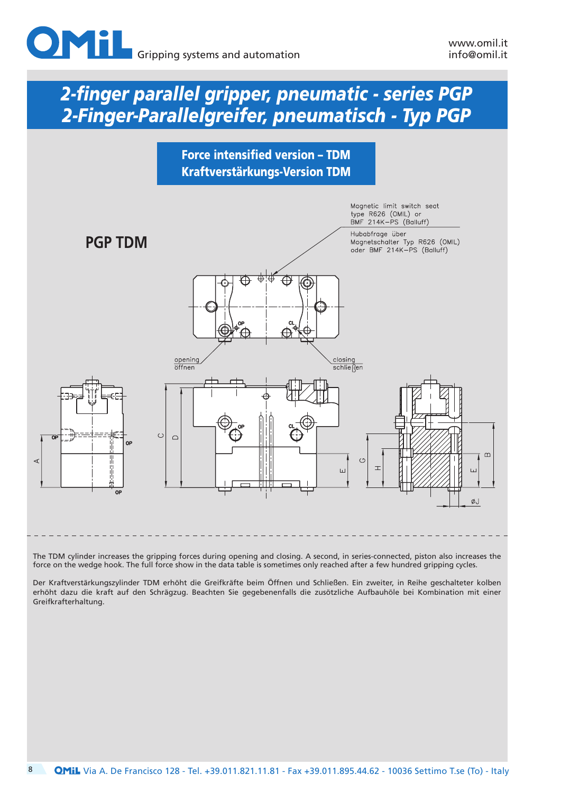





The TDM cylinder increases the gripping forces during opening and closing. A second, in series-connected, piston also increases the force on the wedge hook. The full force show in the data table is sometimes only reached after a few hundred gripping cycles.

Der Kraftverstärkungszylinder TDM erhöht die Greifkräfte beim Öffnen und Schließen. Ein zweiter, in Reihe geschalteter kolben erhöht dazu die kraft auf den Schrägzug. Beachten Sie gegebenenfalls die zusötzliche Aufbauhöle bei Kombination mit einer Greifkrafterhaltung.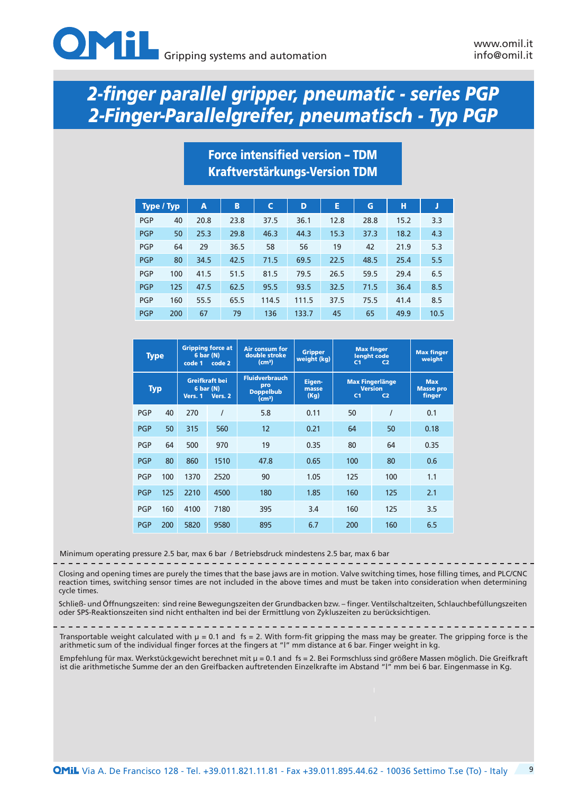

## Force intensified version – TDM Kraftverstärkungs-Version TDM

| Type / Typ |     | A    | B    | C     | D     | E    | G    | н    | J    |
|------------|-----|------|------|-------|-------|------|------|------|------|
| <b>PGP</b> | 40  | 20.8 | 23.8 | 37.5  | 36.1  | 12.8 | 28.8 | 15.2 | 3.3  |
| <b>PGP</b> | 50  | 25.3 | 29.8 | 46.3  | 44.3  | 15.3 | 37.3 | 18.2 | 4.3  |
| <b>PGP</b> | 64  | 29   | 36.5 | 58    | 56    | 19   | 42   | 21.9 | 5.3  |
| <b>PGP</b> | 80  | 34.5 | 42.5 | 71.5  | 69.5  | 22.5 | 48.5 | 25.4 | 5.5  |
| <b>PGP</b> | 100 | 41.5 | 51.5 | 81.5  | 79.5  | 26.5 | 59.5 | 29.4 | 6.5  |
| <b>PGP</b> | 125 | 47.5 | 62.5 | 95.5  | 93.5  | 32.5 | 71.5 | 36.4 | 8.5  |
| <b>PGP</b> | 160 | 55.5 | 65.5 | 114.5 | 111.5 | 37.5 | 75.5 | 41.4 | 8.5  |
| <b>PGP</b> | 200 | 67   | 79   | 136   | 133.7 | 45   | 65   | 49.9 | 10.5 |

| <b>Type</b> |     | 6 <sub>bar</sub> (N)<br>code 1         | <b>Gripping force at</b><br>code 2 | Air consum for<br>double stroke<br>(cm <sup>3</sup> )                  | <b>Gripper</b><br>weight (kg) | C <sub>1</sub> | <b>Max finger</b><br>lenght code<br>C <sub>2</sub>         | <b>Max finger</b><br>weight              |
|-------------|-----|----------------------------------------|------------------------------------|------------------------------------------------------------------------|-------------------------------|----------------|------------------------------------------------------------|------------------------------------------|
| <b>Typ</b>  |     | Greifkraft bei<br>6 bar (N)<br>Vers. 1 | Vers. 2                            | <b>Fluidverbrauch</b><br>pro<br><b>Doppelbub</b><br>(cm <sup>3</sup> ) | Eigen-<br>masse<br>(Kg)       | C <sub>1</sub> | <b>Max Fingerlänge</b><br><b>Version</b><br>C <sub>2</sub> | <b>Max</b><br><b>Masse pro</b><br>finger |
| <b>PGP</b>  | 40  | 270                                    |                                    | 5.8                                                                    | 0.11                          | 50             |                                                            | 0.1                                      |
| <b>PGP</b>  | 50  | 315                                    | 560                                | 12                                                                     | 0.21                          | 64             | 50                                                         | 0.18                                     |
| <b>PGP</b>  | 64  | 500                                    | 970                                | 19                                                                     | 0.35                          | 80             | 64                                                         | 0.35                                     |
| <b>PGP</b>  | 80  | 860                                    | 1510                               | 47.8                                                                   | 0.65                          | 100            | 80                                                         | 0.6                                      |
| <b>PGP</b>  | 100 | 1370                                   | 2520                               | 90                                                                     | 1.05                          | 125            | 100                                                        | 1.1                                      |
| <b>PGP</b>  | 125 | 2210                                   | 4500                               | 180                                                                    | 1.85                          | 160            | 125                                                        | 2.1                                      |
| <b>PGP</b>  | 160 | 4100                                   | 7180                               | 395                                                                    | 3.4                           | 160            | 125                                                        | 3.5                                      |
| <b>PGP</b>  | 200 | 5820                                   | 9580                               | 895                                                                    | 6.7                           | 200            | 160                                                        | 6.5                                      |

Minimum operating pressure 2.5 bar, max 6 bar / Betriebsdruck mindestens 2.5 bar, max 6 bar

Closing and opening times are purely the times that the base jaws are in motion. Valve switching times, hose filling times, and PLC/CNC reaction times, switching sensor times are not included in the above times and must be taken into consideration when determining cycle times.

Schließ- und Öffnungszeiten: sind reine Bewegungszeiten der Grundbacken bzw. – finger. Ventilschaltzeiten, Schlauchbefüllungszeiten oder SPS-Reaktionszeiten sind nicht enthalten ind bei der Ermittlung von Zykluszeiten zu berücksichtigen.

Transportable weight calculated with  $\mu = 0.1$  and fs = 2. With form-fit gripping the mass may be greater. The gripping force is the arithmetic sum of the individual finger forces at the fingers at "l" mm distance at 6 bar. Finger weight in kg.

Empfehlung für max. Werkstückgewicht berechnet mit µ = 0.1 and fs = 2. Bei Formschluss sind größere Massen möglich. Die Greifkraft ist die arithmetische Summe der an den Greifbacken auftretenden Einzelkrafte im Abstand "l" mm bei 6 bar. Eingenmasse in Kg.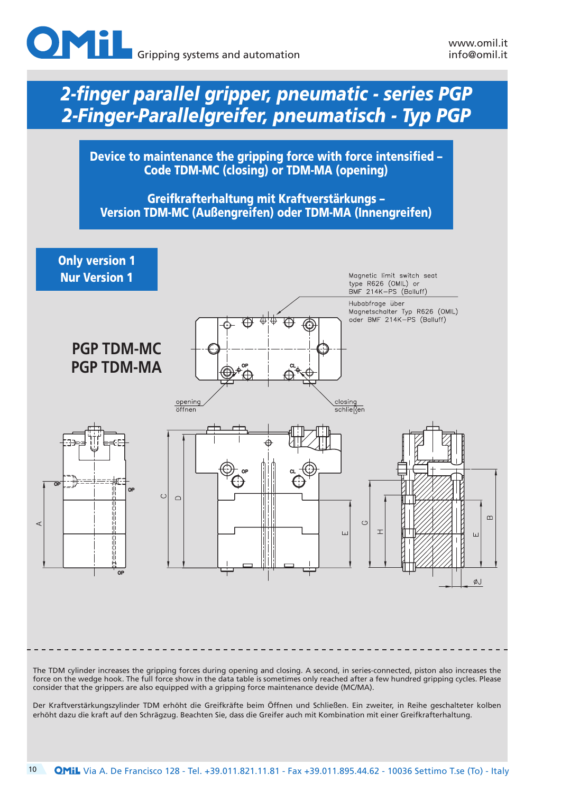

Device to maintenance the gripping force with force intensified – Code TDM-MC (closing) or TDM-MA (opening)

Greifkrafterhaltung mit Kraftverstärkungs – Version TDM-MC (Außengreifen) oder TDM-MA (Innengreifen)



Der Kraftverstärkungszylinder TDM erhöht die Greifkräfte beim Öffnen und Schließen. Ein zweiter, in Reihe geschalteter kolben

erhöht dazu die kraft auf den Schrägzug. Beachten Sie, dass die Greifer auch mit Kombination mit einer Greifkrafterhaltung.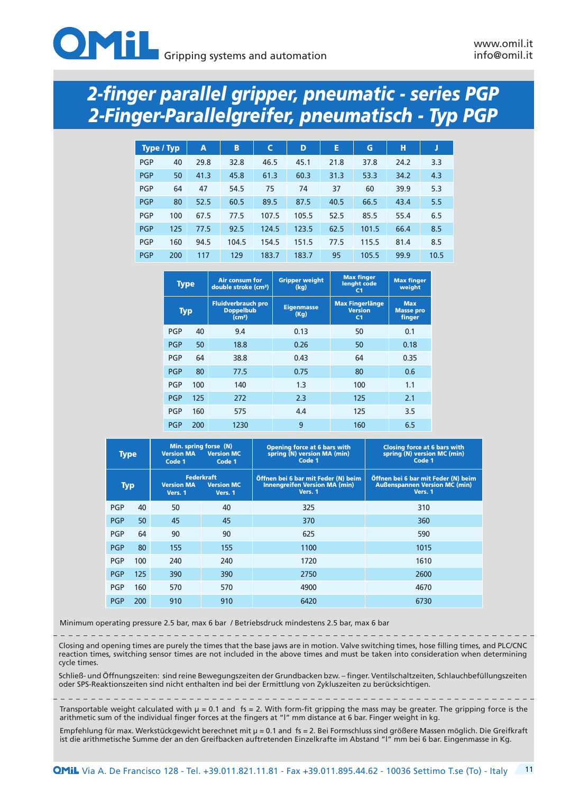

| Type / Typ |     | A    | B     | C     | D     | Е    | G     | н    | J    |
|------------|-----|------|-------|-------|-------|------|-------|------|------|
| <b>PGP</b> | 40  | 29.8 | 32.8  | 46.5  | 45.1  | 21.8 | 37.8  | 24.2 | 3.3  |
| <b>PGP</b> | 50  | 41.3 | 45.8  | 61.3  | 60.3  | 31.3 | 53.3  | 34.2 | 4.3  |
| <b>PGP</b> | 64  | 47   | 54.5  | 75    | 74    | 37   | 60    | 39.9 | 5.3  |
| <b>PGP</b> | 80  | 52.5 | 60.5  | 89.5  | 87.5  | 40.5 | 66.5  | 43.4 | 5.5  |
| <b>PGP</b> | 100 | 67.5 | 77.5  | 107.5 | 105.5 | 52.5 | 85.5  | 55.4 | 6.5  |
| <b>PGP</b> | 125 | 77.5 | 92.5  | 124.5 | 123.5 | 62.5 | 101.5 | 66.4 | 8.5  |
| <b>PGP</b> | 160 | 94.5 | 104.5 | 154.5 | 151.5 | 77.5 | 115.5 | 81.4 | 8.5  |
| <b>PGP</b> | 200 | 117  | 129   | 183.7 | 183.7 | 95   | 105.5 | 99.9 | 10.5 |

|            | <b>Type</b> | Air consum for<br>double stroke (cm <sup>3</sup> )                  | <b>Gripper weight</b><br>(kq) | <b>Max finger</b><br>lenght code<br>C <sub>1</sub>         | <b>Max finger</b><br>weight              |
|------------|-------------|---------------------------------------------------------------------|-------------------------------|------------------------------------------------------------|------------------------------------------|
| <b>Typ</b> |             | <b>Fluidverbrauch pro</b><br><b>Doppelbub</b><br>(cm <sup>3</sup> ) | <b>Eigenmasse</b><br>(Kq)     | <b>Max Fingerlänge</b><br><b>Version</b><br>C <sub>1</sub> | <b>Max</b><br><b>Masse pro</b><br>finger |
| <b>PGP</b> | 40          | 9.4                                                                 | 0.13                          | 50                                                         | 0.1                                      |
| <b>PGP</b> | 50          | 18.8                                                                | 0.26                          | 50                                                         | 0.18                                     |
| <b>PGP</b> | 64          | 38.8                                                                | 0.43                          | 64                                                         | 0.35                                     |
| <b>PGP</b> | 80          | 77.5                                                                | 0.75                          | 80                                                         | 0.6                                      |
| <b>PGP</b> | 100         | 140                                                                 | 1.3                           | 100                                                        | 1.1                                      |
| <b>PGP</b> | 125         | 272                                                                 | 2.3                           | 125                                                        | 2.1                                      |
| <b>PGP</b> | 160         | 575                                                                 | 4.4                           | 125                                                        | 3.5                                      |
| <b>PGP</b> | 200         | 1230                                                                | 9                             | 160                                                        | 6.5                                      |

| <b>Type</b> |     | <b>Version MA</b><br>Code 1  | Min. spring forse (N)<br><b>Version MC</b><br>Code 1 | <b>Opening force at 6 bars with</b><br>spring (N) version MA (min)<br>Code 1           | <b>Closing force at 6 bars with</b><br>spring (N) version MC (min)<br>Code 1           |
|-------------|-----|------------------------------|------------------------------------------------------|----------------------------------------------------------------------------------------|----------------------------------------------------------------------------------------|
| <b>Typ</b>  |     | <b>Version MA</b><br>Vers. 1 | <b>Federkraft</b><br><b>Version MC</b><br>Vers. 1    | Öffnen bei 6 bar mit Feder (N) beim<br><b>Innengreifen Version MA (min)</b><br>Vers. 1 | Öffnen bei 6 bar mit Feder (N) beim<br><b>Außenspannen Version MC (min)</b><br>Vers. 1 |
| <b>PGP</b>  | 40  | 50                           | 40                                                   | 325                                                                                    | 310                                                                                    |
| <b>PGP</b>  | 50  | 45                           | 45                                                   | 370                                                                                    | 360                                                                                    |
| <b>PGP</b>  | 64  | 90                           | 90                                                   | 625                                                                                    | 590                                                                                    |
| <b>PGP</b>  | 80  | 155                          | 155                                                  | 1100                                                                                   | 1015                                                                                   |
| <b>PGP</b>  | 100 | 240                          | 240                                                  | 1720                                                                                   | 1610                                                                                   |
| <b>PGP</b>  | 125 | 390                          | 390                                                  | 2750                                                                                   | 2600                                                                                   |
| <b>PGP</b>  | 160 | 570                          | 570                                                  | 4900                                                                                   | 4670                                                                                   |
| <b>PGP</b>  | 200 | 910                          | 910                                                  | 6420                                                                                   | 6730                                                                                   |

Minimum operating pressure 2.5 bar, max 6 bar / Betriebsdruck mindestens 2.5 bar, max 6 bar

Closing and opening times are purely the times that the base jaws are in motion. Valve switching times, hose filling times, and PLC/CNC reaction times, switching sensor times are not included in the above times and must be taken into consideration when determining cycle times.

Schließ- und Öffnungszeiten: sind reine Bewegungszeiten der Grundbacken bzw. – finger. Ventilschaltzeiten, Schlauchbefüllungszeiten oder SPS-Reaktionszeiten sind nicht enthalten ind bei der Ermittlung von Zykluszeiten zu berücksichtigen.

Transportable weight calculated with µ = 0.1 and fs = 2. With form-fit gripping the mass may be greater. The gripping force is the arithmetic sum of the individual finger forces at the fingers at "l" mm distance at 6 bar. Finger weight in kg.

Empfehlung für max. Werkstückgewicht berechnet mit µ = 0.1 and fs = 2. Bei Formschluss sind größere Massen möglich. Die Greifkraft ist die arithmetische Summe der an den Greifbacken auftretenden Einzelkrafte im Abstand "l" mm bei 6 bar. Eingenmasse in Kg.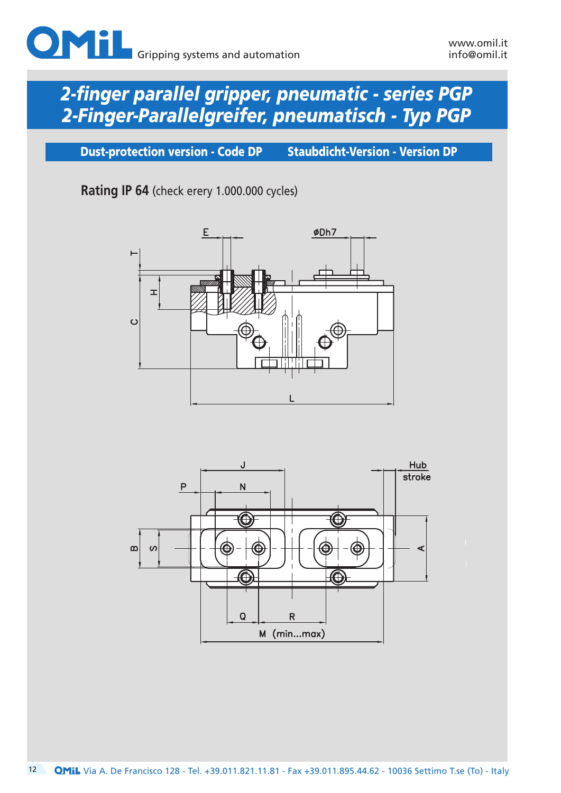

Dust-protection version - Code DP Staubdicht-Version - Version DP

**Rating IP 64** (check erery 1.000.000 cycles)



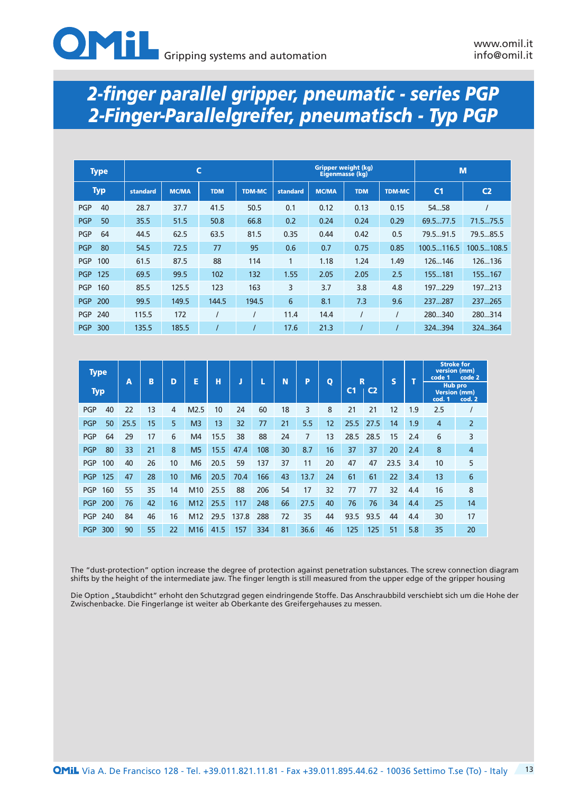| <b>Type</b>       |                          |       | C          |               |          |              | <b>Gripper weight (kg)</b><br>Eigenmasse (kg) |               | M              |                |  |
|-------------------|--------------------------|-------|------------|---------------|----------|--------------|-----------------------------------------------|---------------|----------------|----------------|--|
| <b>Typ</b>        | <b>MC/MA</b><br>standard |       | <b>TDM</b> | <b>TDM-MC</b> | standard | <b>MC/MA</b> | <b>TDM</b>                                    | <b>TDM-MC</b> | C <sub>1</sub> | C <sub>2</sub> |  |
| 40<br><b>PGP</b>  | 28.7                     | 37.7  | 41.5       | 50.5          | 0.1      | 0.12         | 0.13                                          | 0.15          | 5458           |                |  |
| <b>PGP</b><br>50  | 35.5                     | 51.5  | 50.8       | 66.8          | 0.2      | 0.24         | 0.24                                          | 0.29          | 69.577.5       | 71.575.5       |  |
| <b>PGP</b><br>64  | 44.5                     | 62.5  | 63.5       | 81.5          | 0.35     | 0.44         | 0.42                                          | 0.5           | 79.591.5       | 79.585.5       |  |
| <b>PGP</b><br>80  | 54.5                     | 72.5  | 77         | 95            | 0.6      | 0.7          | 0.75                                          | 0.85          | 100.5116.5     | 100.5108.5     |  |
| <b>PGP</b><br>100 | 61.5                     | 87.5  | 88         | 114           | 1        | 1.18         | 1.24                                          | 1.49          | 126146         | 126136         |  |
| <b>PGP</b><br>125 | 69.5                     | 99.5  | 102        | 132           | 1.55     | 2.05         | 2.05                                          | 2.5           | 155181         | 155167         |  |
| <b>PGP</b><br>160 | 85.5                     | 125.5 | 123        | 163           | 3        | 3.7          | 3.8                                           | 4.8           | 197229         | 197213         |  |
| <b>PGP</b><br>200 | 99.5                     | 149.5 | 144.5      | 194.5         | 6        | 8.1          | 7.3                                           | 9.6           | 237287         | 237265         |  |
| <b>PGP</b><br>240 | 115.5                    | 172   |            |               | 11.4     | 14.4         |                                               |               | 280340         | 280314         |  |
| <b>PGP</b><br>300 | 135.5                    | 185.5 |            |               | 17.6     | 21.3         |                                               |               | 324394         | 324364         |  |

| <b>Type</b> |     | $\overline{A}$ | B  | D  | E              | н    |       |     | N  | P    | $\mathbf 0$ | R              |                | S    | Ŧ   | version (mm)<br>code 1 | <b>Stroke for</b><br>code 2                     |
|-------------|-----|----------------|----|----|----------------|------|-------|-----|----|------|-------------|----------------|----------------|------|-----|------------------------|-------------------------------------------------|
| <b>Typ</b>  |     |                |    |    |                |      |       |     |    |      |             | C <sub>1</sub> | C <sub>2</sub> |      |     | cod. 1                 | <b>Hub pro</b><br><b>Version (mm)</b><br>cod. 2 |
| <b>PGP</b>  | 40  | 22             | 13 | 4  | M2.5           | 10   | 24    | 60  | 18 | 3    | 8           | 21             | 21             | 12   | 1.9 | 2.5                    |                                                 |
| <b>PGP</b>  | 50  | 25.5           | 15 | 5  | M <sub>3</sub> | 13   | 32    | 77  | 21 | 5.5  | 12          | 25.5           | 27.5           | 14   | 1.9 | 4                      | $\overline{2}$                                  |
| <b>PGP</b>  | 64  | 29             | 17 | 6  | M4             | 15.5 | 38    | 88  | 24 | 7    | 13          | 28.5           | 28.5           | 15   | 2.4 | 6                      | 3                                               |
| <b>PGP</b>  | 80  | 33             | 21 | 8  | M <sub>5</sub> | 15.5 | 47.4  | 108 | 30 | 8.7  | 16          | 37             | 37             | 20   | 2.4 | 8                      | $\overline{4}$                                  |
| <b>PGP</b>  | 100 | 40             | 26 | 10 | M <sub>6</sub> | 20.5 | 59    | 137 | 37 | 11   | 20          | 47             | 47             | 23.5 | 3.4 | 10                     | 5                                               |
| <b>PGP</b>  | 125 | 47             | 28 | 10 | M <sub>6</sub> | 20.5 | 70.4  | 166 | 43 | 13.7 | 24          | 61             | 61             | 22   | 3.4 | 13                     | 6                                               |
| <b>PGP</b>  | 160 | 55             | 35 | 14 | M10            | 25.5 | 88    | 206 | 54 | 17   | 32          | 77             | 77             | 32   | 4.4 | 16                     | 8                                               |
| <b>PGP</b>  | 200 | 76             | 42 | 16 | M12            | 25.5 | 117   | 248 | 66 | 27.5 | 40          | 76             | 76             | 34   | 4.4 | 25                     | 14                                              |
| <b>PGP</b>  | 240 | 84             | 46 | 16 | M12            | 29.5 | 137.8 | 288 | 72 | 35   | 44          | 93.5           | 93.5           | 44   | 4.4 | 30                     | 17                                              |
| <b>PGP</b>  | 300 | 90             | 55 | 22 | M16            | 41.5 | 157   | 334 | 81 | 36.6 | 46          | 125            | 125            | 51   | 5.8 | 35                     | 20                                              |

The "dust-protection" option increase the degree of protection against penetration substances. The screw connection diagram shifts by the height of the intermediate jaw. The finger length is still measured from the upper edge of the gripper housing

Die Option "Staubdicht" erhoht den Schutzgrad gegen eindringende Stoffe. Das Anschraubbild verschiebt sich um die Hohe der Zwischenbacke. Die Fingerlange ist weiter ab Oberkante des Greifergehauses zu messen.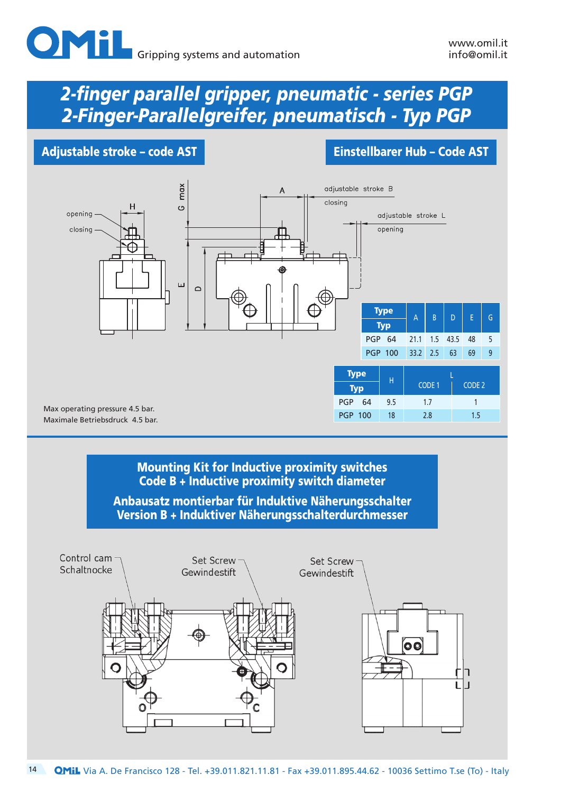### Adjustable stroke – code AST **Einstellbarer Hub – Code AST**

![](_page_13_Figure_5.jpeg)

## Mounting Kit for Inductive proximity switches Code B + Inductive proximity switch diameter

Anbausatz montierbar für Induktive Näherungsschalter Version B + Induktiver Näherungsschalterdurchmesser

![](_page_13_Figure_8.jpeg)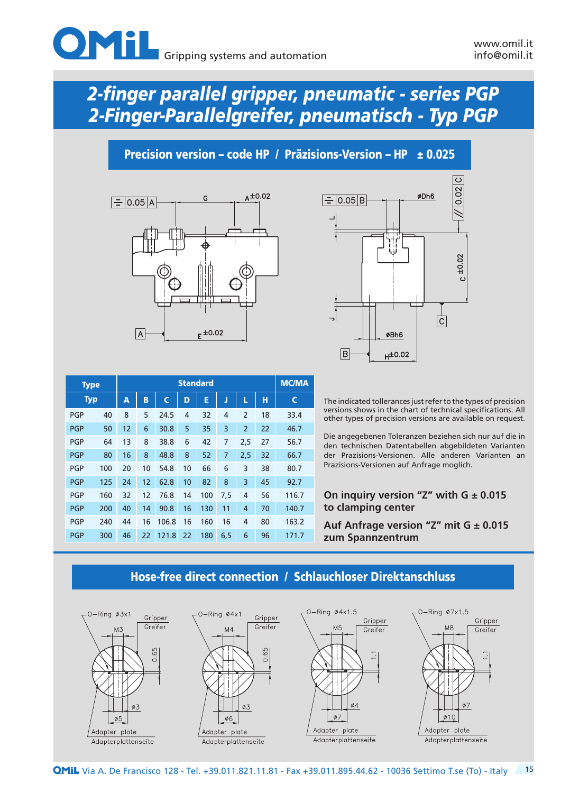![](_page_14_Picture_0.jpeg)

Precision version – code HP / Präzisions-Version – HP  $\pm 0.025$ 

![](_page_14_Figure_5.jpeg)

![](_page_14_Figure_6.jpeg)

| <b>Type</b> |     |    | <b>Standard</b> |       |    |     |     |                |    |       |  |  |  |  |  |
|-------------|-----|----|-----------------|-------|----|-----|-----|----------------|----|-------|--|--|--|--|--|
| <b>Typ</b>  |     | Α  | B               | Ċ     | D  | E   | ŋ   | L              | н  | C     |  |  |  |  |  |
| <b>PGP</b>  | 40  | 8  | 5               | 24.5  | 4  | 32  | 4   | $\overline{2}$ | 18 | 33.4  |  |  |  |  |  |
| <b>PGP</b>  | 50  | 12 | 6               | 30.8  | 5  | 35  | 3   | $\overline{2}$ | 22 | 46.7  |  |  |  |  |  |
| <b>PGP</b>  | 64  | 13 | 8               | 38.8  | 6  | 42  | 7   | 2,5            | 27 | 56.7  |  |  |  |  |  |
| <b>PGP</b>  | 80  | 16 | 8               | 48.8  | 8  | 52  | 7   | 2,5            | 32 | 66.7  |  |  |  |  |  |
| <b>PGP</b>  | 100 | 20 | 10              | 54.8  | 10 | 66  | 6   | 3              | 38 | 80.7  |  |  |  |  |  |
| <b>PGP</b>  | 125 | 24 | 12              | 62.8  | 10 | 82  | 8   | 3              | 45 | 92.7  |  |  |  |  |  |
| <b>PGP</b>  | 160 | 32 | 12              | 76.8  | 14 | 100 | 7,5 | $\overline{4}$ | 56 | 116.7 |  |  |  |  |  |
| <b>PGP</b>  | 200 | 40 | 14              | 90.8  | 16 | 130 | 11  | $\overline{4}$ | 70 | 140.7 |  |  |  |  |  |
| <b>PGP</b>  | 240 | 44 | 16              | 106.8 | 16 | 160 | 16  | 4              | 80 | 163.2 |  |  |  |  |  |
| <b>PGP</b>  | 300 | 46 | 22              | 121.8 | 22 | 180 | 6,5 | 6              | 96 | 171.7 |  |  |  |  |  |

The indicated tollerances just refer to the types of precision versions shows in the chart of technical specifications. All other types of precision versions are available on request.

Die angegebenen Toleranzen beziehen sich nur auf die in den technischen Datentabellen abgebildeten Varianten der Prazisions-Versionen. Alle anderen Varianten an Prazisions-Versionen auf Anfrage moglich.

#### **On inquiry version "Z" with G ± 0.015 to clamping center**

**Auf Anfrage version "Z" mit G ± 0.015 zum Spannzentrum**

![](_page_14_Figure_12.jpeg)

## Hose-free direct connection / Schlauchloser Direktanschluss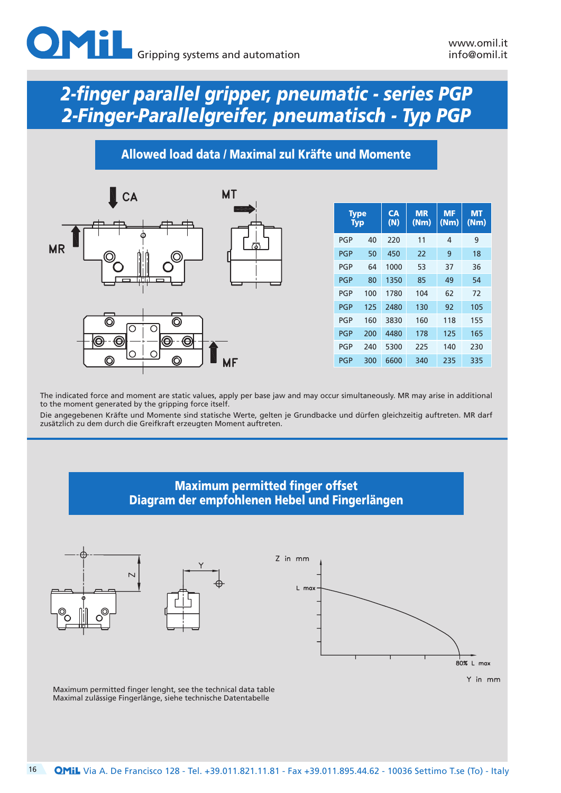## Allowed load data / Maximal zul Kräfte und Momente

![](_page_15_Figure_4.jpeg)

| <b>Type</b><br><b>Typ</b> |     | CA<br>(N) | <b>MR</b><br>(Nm) | <b>MF</b><br>(Nm) | <b>MT</b><br>(Nm) |
|---------------------------|-----|-----------|-------------------|-------------------|-------------------|
| <b>PGP</b>                | 40  | 220       | 11                | 4                 | 9                 |
| <b>PGP</b>                | 50  | 450       | 22                | 9                 | 18                |
| PGP                       | 64  | 1000      | 53                | 37                | 36                |
| <b>PGP</b>                | 80  | 1350      | 85                | 49                | 54                |
| PGP                       | 100 | 1780      | 104               | 62                | 72                |
| <b>PGP</b>                | 125 | 2480      | 130               | 92                | 105               |
| <b>PGP</b>                | 160 | 3830      | 160               | 118               | 155               |
| <b>PGP</b>                | 200 | 4480      | 178               | 125               | 165               |
| <b>PGP</b>                | 240 | 5300      | 225               | 140               | 230               |
| <b>PGP</b>                | 300 | 6600      | 340               | 235               | 335               |

The indicated force and moment are static values, apply per base jaw and may occur simultaneously. MR may arise in additional to the moment generated by the gripping force itself.

Die angegebenen Kräfte und Momente sind statische Werte, gelten je Grundbacke und dürfen gleichzeitig auftreten. MR darf zusätzlich zu dem durch die Greifkraft erzeugten Moment auftreten.

### Maximum permitted finger offset Diagram der empfohlenen Hebel und Fingerlängen

![](_page_15_Figure_9.jpeg)

![](_page_15_Figure_10.jpeg)

![](_page_15_Figure_11.jpeg)

Y in mm

Maximum permitted finger lenght, see the technical data table Maximal zulässige Fingerlänge, siehe technische Datentabelle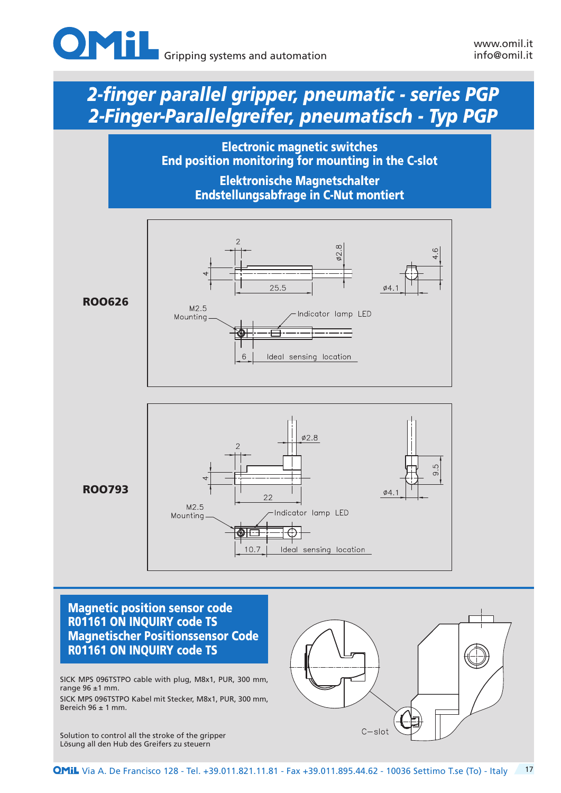![](_page_16_Picture_0.jpeg)

Electronic magnetic switches End position monitoring for mounting in the C-slot

> Elektronische Magnetschalter Endstellungsabfrage in C-Nut montiert

![](_page_16_Figure_6.jpeg)

### Magnetic position sensor code R01161 ON INQUIRY code TS Magnetischer Positionssensor Code R01161 ON INQUIRY code TS

SICK MPS 096TSTPO cable with plug, M8x1, PUR, 300 mm, range  $96 \pm 1$  mm.

SICK MPS 096TSTPO Kabel mit Stecker, M8x1, PUR, 300 mm, Bereich  $96 \pm 1$  mm.

Solution to control all the stroke of the gripper Lösung all den Hub des Greifers zu steuern

![](_page_16_Figure_11.jpeg)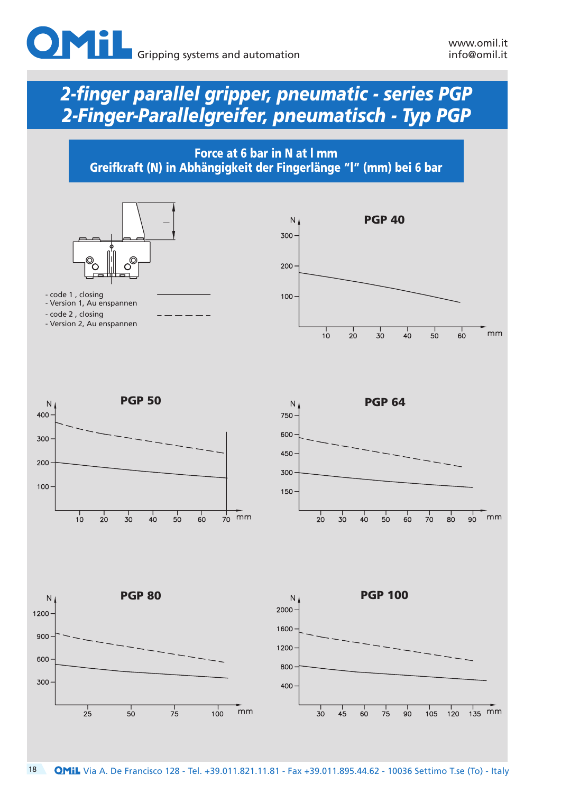![](_page_17_Picture_0.jpeg)

![](_page_17_Figure_3.jpeg)

![](_page_17_Figure_4.jpeg)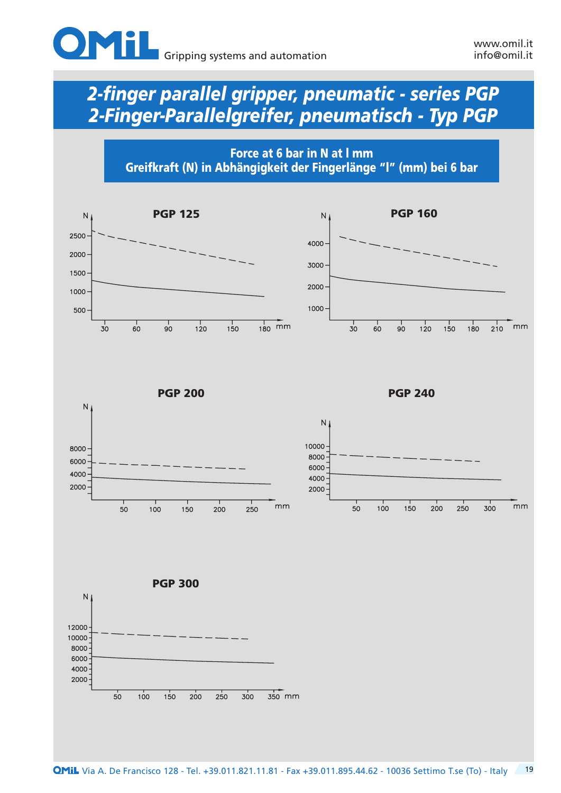![](_page_18_Picture_0.jpeg)

Force at 6 bar in N at l mm Greifkraft (N) in Abhängigkeit der Fingerlänge "l" (mm) bei 6 bar

![](_page_18_Figure_5.jpeg)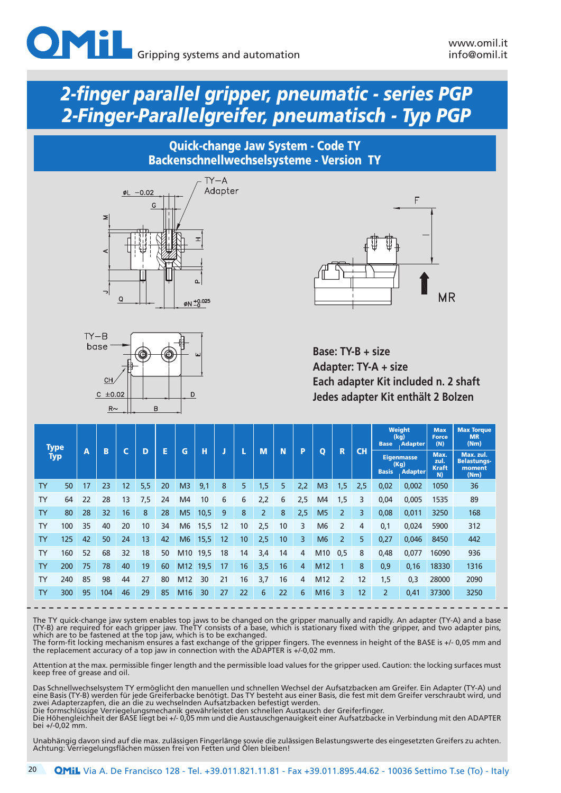### Quick-change Jaw System - Code TY Backenschnellwechselsysteme - Version TY

![](_page_19_Figure_4.jpeg)

![](_page_19_Figure_5.jpeg)

![](_page_19_Figure_6.jpeg)

**Base: TY-B + size Adapter: TY-A + size Each adapter Kit included n. 2 shaft Jedes adapter Kit enthält 2 Bolzen**

|           | <b>Type</b> |    |     |    |     |    |                 |      |    |    |                |    |     |                 |                |     | <b>Base</b>                                                 | <b>Weight</b><br>(kg)<br>. Adapter | <b>Max</b><br><b>Force</b><br>(N)  | <b>Max Torque</b><br><b>MR</b><br>(Nm)            |
|-----------|-------------|----|-----|----|-----|----|-----------------|------|----|----|----------------|----|-----|-----------------|----------------|-----|-------------------------------------------------------------|------------------------------------|------------------------------------|---------------------------------------------------|
|           | <b>Typ</b>  | A  | B   | ∼  | D   | E  | G               | н    | J  |    | M              | N  | P   | $\mathbf{o}$    | R              | CH  | <b>Eigenmasse</b><br>(Kg)<br><b>Basis</b><br><b>Adapter</b> |                                    | Max.<br>zul.<br><b>Kraft</b><br>N) | Max. zul.<br><b>Belastungs-</b><br>moment<br>(Nm) |
| <b>TY</b> | 50          | 17 | 23  | 12 | 5,5 | 20 | M <sub>3</sub>  | 9,1  | 8  | 5  | 1,5'           | 5  | 2,2 | M <sub>3</sub>  | 1,5            | 2,5 | 0,02                                                        | 0,002                              | 1050                               | 36                                                |
| <b>TY</b> | 64          | 22 | 28  | 13 | 7,5 | 24 | M <sub>4</sub>  | 10   | 6  | 6  | 2,2            | 6  | 2,5 | M <sub>4</sub>  | 1,5            | 3   | 0,04                                                        | 0,005                              | 1535                               | 89                                                |
| <b>TY</b> | 80          | 28 | 32  | 16 | 8   | 28 | M <sub>5</sub>  | 10,5 | 9  | 8  | $\overline{2}$ | 8  | 2,5 | M <sub>5</sub>  | $\overline{2}$ | 3   | 0,08                                                        | 0,011                              | 3250                               | 168                                               |
| <b>TY</b> | 100         | 35 | 40  | 20 | 10  | 34 | M <sub>6</sub>  | 15,5 | 12 | 10 | 2,5            | 10 | 3   | M <sub>6</sub>  | $\overline{2}$ | 4   | 0,1                                                         | 0,024                              | 5900                               | 312                                               |
| <b>TY</b> | 125         | 42 | 50  | 24 | 13  | 42 | M <sub>6</sub>  | 15,5 | 12 | 10 | 2,5            | 10 | 3   | M6              | $\overline{2}$ | 5   | 0,27                                                        | 0,046                              | 8450                               | 442                                               |
| <b>TY</b> | 160         | 52 | 68  | 32 | 18  | 50 | M10             | 19,5 | 18 | 14 | 3,4            | 14 | 4   | M10             | 0,5            | 8   | 0,48                                                        | 0,077                              | 16090                              | 936                                               |
| <b>TY</b> | 200         | 75 | 78  | 40 | 19  | 60 | M <sub>12</sub> | 19,5 | 17 | 16 | 3,5            | 16 | 4   | M <sub>12</sub> |                | 8   | 0,9                                                         | 0,16                               | 18330                              | 1316                                              |
| <b>TY</b> | 240         | 85 | 98  | 44 | 27  | 80 | M <sub>12</sub> | 30   | 21 | 16 | 3,7            | 16 | 4   | M <sub>12</sub> | $\overline{2}$ | 12  | 1,5                                                         | 0,3                                | 28000                              | 2090                                              |
| <b>TY</b> | 300         | 95 | 104 | 46 | 29  | 85 | M <sub>16</sub> | 30   | 27 | 22 | 6              | 22 | 6   | M <sub>16</sub> | 3              | 12  | $\overline{2}$                                              | 0,41                               | 37300                              | 3250                                              |

The TY quick-change jaw system enables top jaws to be changed on the gripper manually and rapidly. An adapter (TY-A) and a base (TY-B) are required for each gripper jaw. TheTY consists of a base, which is stationary fixed with the gripper, and two adapter pins, which are to be fastened at the top jaw, which is to be exchanged. The form-fit locking mechanism ensures a fast exchange of the gripper fingers. The evenness in height of the BASE is +/- 0,05 mm and

the replacement accuracy of a top jaw in connection with the ADAPTER is +/-0,02 mm.

Attention at the max. permissible finger length and the permissible load values for the gripper used. Caution: the locking surfaces must keep free of grease and oil.

Das Schnellwechselsystem TY ermöglicht den manuellen und schnellen Wechsel der Aufsatzbacken am Greifer. Ein Adapter (TY-A) und eine Basis (TY-B) werden für jede Greiferbacke benötigt. Das TY besteht aus einer Basis, die fest mit dem Greifer verschraubt wird, und zwei Adapterzapfen, die an die zu wechselnden Aufsatzbacken befestigt werden. Die formschlüssige Verriegelungsmechanik gewährleistet den schnellen Austausch der Greiferfinger.

Die Höhengleichheit der BASE liegt bei +/- 0,05 mm und die Austauschgenauigkeit einer Aufsatzbacke in Verbindung mit den ADAPTER bei +/-0,02 mm.

Unabhängig davon sind auf die max. zulässigen Fingerlänge sowie die zulässigen Belastungswerte des eingesetzten Greifers zu achten. Achtung: Verriegelungsflächen müssen frei von Fetten und Ölen bleiben!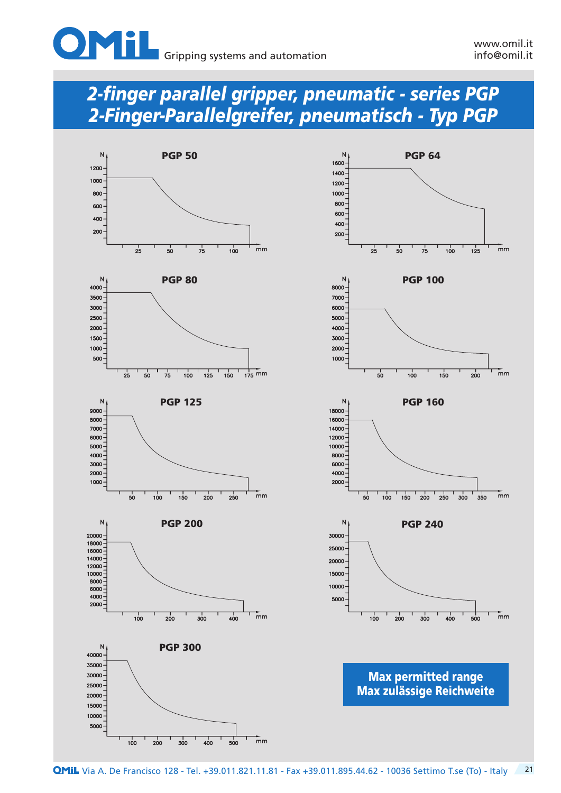![](_page_20_Picture_0.jpeg)

![](_page_20_Figure_4.jpeg)

![](_page_20_Figure_5.jpeg)

![](_page_20_Figure_6.jpeg)

![](_page_20_Figure_7.jpeg)

![](_page_20_Figure_8.jpeg)

Max permitted range Max zulässige Reichweite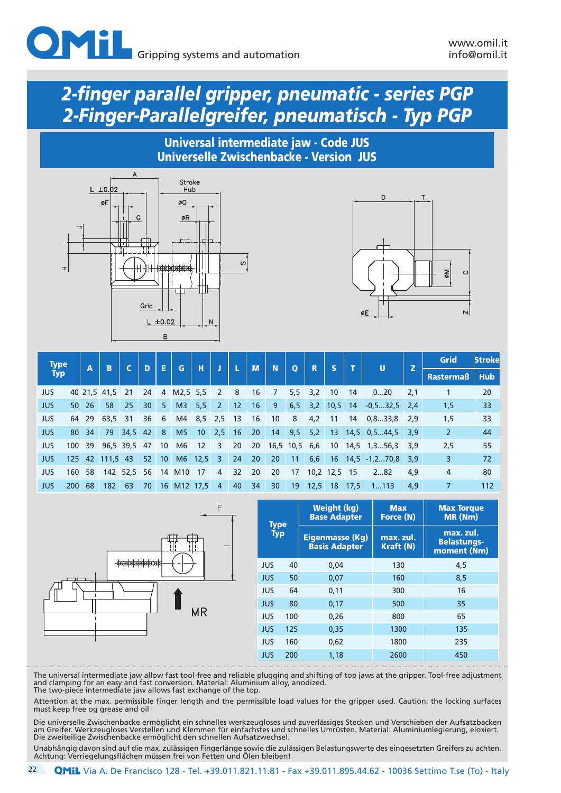#### Universal intermediate jaw - Code JUS Universelle Zwischenbacke - Version JUS

![](_page_21_Figure_4.jpeg)

![](_page_21_Figure_5.jpeg)

| <b>Type</b> |     | $\overline{\mathbf{A}}$ | <b>B</b>     |              | D  | E               | G               | н               | J                       | L  | M  | N               | $\mathbf{o}$ | R         |              |                 | ū                      |     | <b>Grid</b>    | <b>Strokel</b> |
|-------------|-----|-------------------------|--------------|--------------|----|-----------------|-----------------|-----------------|-------------------------|----|----|-----------------|--------------|-----------|--------------|-----------------|------------------------|-----|----------------|----------------|
| <b>Typ</b>  |     |                         |              |              |    |                 |                 |                 |                         |    |    |                 |              |           |              |                 |                        | z   | Rastermaß      | <b>Hub</b>     |
| <b>JUS</b>  |     |                         | 40 21.5 41.5 | - 21         | 24 |                 | 4 M2,5 5,5      |                 | 2                       | 8  | 16 | 7               |              | $5,5$ 3.2 | 10           | 14              | 020                    | 2,1 |                | 20             |
| <b>JUS</b>  | 50  | 26                      | 58           | 25           | 30 | 5               | M3              | 5,5             | $\overline{2}$          | 12 | 16 | 9               | 6, 5         | 3,2       | 10,5         | 14 <sup>1</sup> | $-0.532.5$ 2.4         |     | 1,5            | 33             |
| <b>JUS</b>  | 64  | 29                      | 63.5 31      |              | 36 | 6               | M4              | 8,5             | $2,5$ 13                |    | 16 | 10              | 8            | 4,2       | -11          | 14              | $0, 833, 8$ 2.9        |     | 1,5            | 33             |
| <b>JUS</b>  | 80  | 34                      | 79           | 34,5         | 42 | 8               | M <sub>5</sub>  | 10 <sup>°</sup> | 2,5                     | 16 | 20 | 14              | 9,5          | 5,2       | 13           |                 | $14,5$ 0,544,5         | 3,9 | $\overline{2}$ | 44             |
| JUS         | 100 | 39                      |              | 96.5 39.5 47 |    | 10 <sup>°</sup> | M <sub>6</sub>  | 12              | 3                       | 20 | 20 | $16,5$ 10,5 6,6 |              |           | <b>10</b>    |                 | $14,5$ 1,356,3         | 3,9 | 2,5            | 55             |
| <b>JUS</b>  | 125 | 42                      | $111,5$ 43   |              | 52 | 10 <sup>°</sup> |                 | M6 12,5         | $\overline{\mathbf{3}}$ | 24 | 20 | 20              | 11           | 6,6       |              |                 | $16$ 14,5 -1,270,8 3,9 |     | 3              | 72             |
| <b>JUS</b>  | 160 | 58                      |              | 142 52,5 56  |    | 14              | M <sub>10</sub> | 17              | 4                       | 32 | 20 | 20              | 17           |           | 10,2 12,5 15 |                 | 282                    | 4,9 | 4              | 80             |
| <b>JUS</b>  | 200 | 68                      | 182          | 63           | 70 |                 | 16 M12 17,5     |                 | $\overline{4}$          | 40 | 34 | 30              | 19           | 12,5      | 18           | 17,5            | 1113                   | 4,9 |                | 112            |

![](_page_21_Figure_7.jpeg)

| <b>Type</b> |     | <b>Weight (kg)</b><br><b>Base Adapter</b> | <b>Max</b><br>Force (N)       | <b>Max Torque</b><br>MR (Nm)                   |
|-------------|-----|-------------------------------------------|-------------------------------|------------------------------------------------|
| <b>Typ</b>  |     | Eigenmasse (Kg)<br><b>Basis Adapter</b>   | max. zul.<br><b>Kraft (N)</b> | max. zul.<br><b>Belastungs-</b><br>moment (Nm) |
| <b>JUS</b>  | 40  | 0.04                                      | 130                           | 4.5                                            |
| <b>JUS</b>  | 50  | 0,07                                      | 160                           | 8.5                                            |
| <b>JUS</b>  | 64  | 0,11                                      | 300                           | 16                                             |
| <b>JUS</b>  | 80  | 0,17                                      | 500                           | 35                                             |
| <b>JUS</b>  | 100 | 0.26                                      | 800                           | 65                                             |
| <b>JUS</b>  | 125 | 0,35                                      | 1300                          | 135                                            |
| <b>JUS</b>  | 160 | 0,62                                      | 1800                          | 235                                            |
| <b>JUS</b>  | 200 | 1,18                                      | 2600                          | 450                                            |

The universal intermediate jaw allow fast tool-free and reliable plugging and shifting of top jaws at the gripper. Tool-free adjustment and clamping for an easy and fast conversion. Material: Aluminium alloy, anodized. The two-piece intermediate jaw allows fast exchange of the top.

Attention at the max. permissible finger length and the permissible load values for the gripper used. Caution: the locking surfaces must keep free og grease and oil

Die universelle Zwischenbacke ermöglicht ein schnelles werkzeugloses und zuverlässiges Stecken und Verschieben der Aufsatzbacken am Greifer. Werkzeugloses Verstellen und Klemmen für einfachstes und schnelles Umrüsten. Material: Aluminiumlegierung, eloxiert. Die zweiteilige Zwischenbacke ermöglicht den schnellen Aufsatzwechsel.

Unabhängig davon sind auf die max. zulässigen Fingerlänge sowie die zulässigen Belastungswerte des eingesetzten Greifers zu achten. Achtung: Verriegelungsflächen müssen frei von Fetten und Ölen bleiben!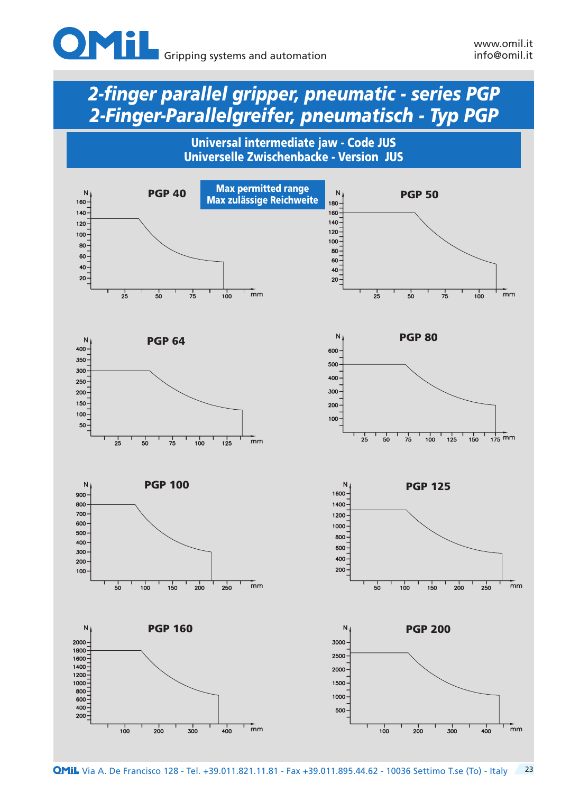![](_page_22_Picture_0.jpeg)

![](_page_22_Figure_4.jpeg)

![](_page_22_Figure_5.jpeg)